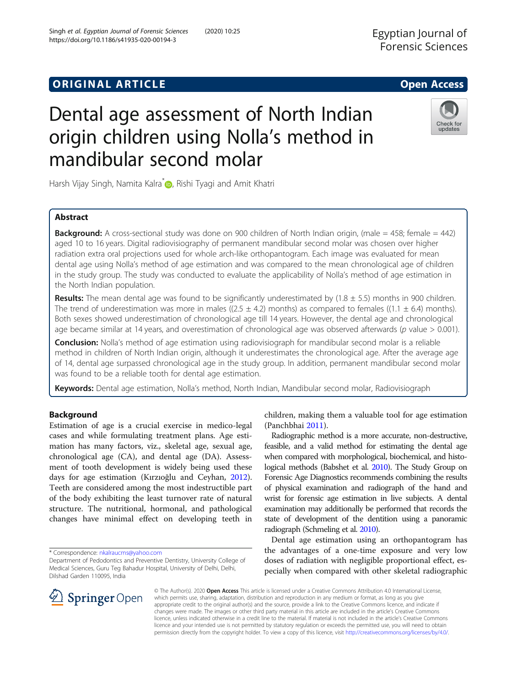## **ORIGINAL ARTICLE CONSERVANCE IN A LOCAL CONSERVANCE IN A LOCAL CONSERVANCE IN A LOCAL CONSERVANCE IN A LOCAL CONS**

# Dental age assessment of North Indian origin children using Nolla's method in mandibular second molar

Harsh Vijay Singh[,](http://orcid.org/0000-0003-3009-4645) Namita Kalra<sup>\*</sup> , Rishi Tyagi and Amit Khatri

## Abstract

**Background:** A cross-sectional study was done on 900 children of North Indian origin, (male  $= 458$ ; female  $= 442$ ) aged 10 to 16 years. Digital radiovisiography of permanent mandibular second molar was chosen over higher radiation extra oral projections used for whole arch-like orthopantogram. Each image was evaluated for mean dental age using Nolla's method of age estimation and was compared to the mean chronological age of children in the study group. The study was conducted to evaluate the applicability of Nolla's method of age estimation in the North Indian population.

**Results:** The mean dental age was found to be significantly underestimated by  $(1.8 \pm 5.5)$  months in 900 children. The trend of underestimation was more in males ((2.5  $\pm$  4.2) months) as compared to females ((1.1  $\pm$  6.4) months). Both sexes showed underestimation of chronological age till 14 years. However, the dental age and chronological age became similar at 14 years, and overestimation of chronological age was observed afterwards ( $p$  value  $> 0.001$ ).

**Conclusion:** Nolla's method of age estimation using radiovisiograph for mandibular second molar is a reliable method in children of North Indian origin, although it underestimates the chronological age. After the average age of 14, dental age surpassed chronological age in the study group. In addition, permanent mandibular second molar was found to be a reliable tooth for dental age estimation.

Keywords: Dental age estimation, Nolla's method, North Indian, Mandibular second molar, Radiovisiograph

## Background

Estimation of age is a crucial exercise in medico-legal cases and while formulating treatment plans. Age estimation has many factors, viz., skeletal age, sexual age, chronological age (CA), and dental age (DA). Assessment of tooth development is widely being used these days for age estimation (Kırzıoğlu and Ceyhan, [2012](#page-6-0)). Teeth are considered among the most indestructible part of the body exhibiting the least turnover rate of natural structure. The nutritional, hormonal, and pathological changes have minimal effect on developing teeth in

\* Correspondence: [nkalraucms@yahoo.com](mailto:nkalraucms@yahoo.com)

children, making them a valuable tool for age estimation (Panchbhai [2011\)](#page-6-0).

Radiographic method is a more accurate, non-destructive, feasible, and a valid method for estimating the dental age when compared with morphological, biochemical, and histological methods (Babshet et al. [2010\)](#page-6-0). The Study Group on Forensic Age Diagnostics recommends combining the results of physical examination and radiograph of the hand and wrist for forensic age estimation in live subjects. A dental examination may additionally be performed that records the state of development of the dentition using a panoramic radiograph (Schmeling et al. [2010\)](#page-6-0).

Dental age estimation using an orthopantogram has the advantages of a one-time exposure and very low doses of radiation with negligible proportional effect, especially when compared with other skeletal radiographic

© The Author(s). 2020 Open Access This article is licensed under a Creative Commons Attribution 4.0 International License, which permits use, sharing, adaptation, distribution and reproduction in any medium or format, as long as you give appropriate credit to the original author(s) and the source, provide a link to the Creative Commons licence, and indicate if changes were made. The images or other third party material in this article are included in the article's Creative Commons licence, unless indicated otherwise in a credit line to the material. If material is not included in the article's Creative Commons licence and your intended use is not permitted by statutory regulation or exceeds the permitted use, you will need to obtain permission directly from the copyright holder. To view a copy of this licence, visit <http://creativecommons.org/licenses/by/4.0/>.





Department of Pedodontics and Preventive Dentistry, University College of Medical Sciences, Guru Teg Bahadur Hospital, University of Delhi, Delhi, Dilshad Garden 110095, India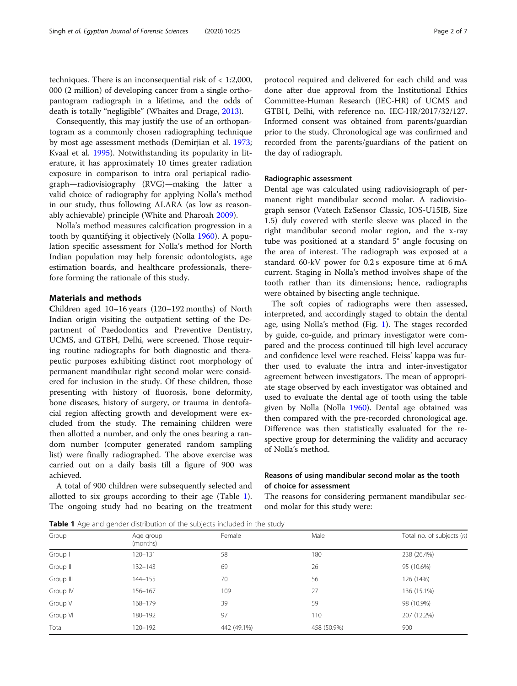techniques. There is an inconsequential risk of < 1:2,000, 000 (2 million) of developing cancer from a single orthopantogram radiograph in a lifetime, and the odds of death is totally "negligible" (Whaites and Drage, [2013](#page-6-0)).

Consequently, this may justify the use of an orthopantogram as a commonly chosen radiographing technique by most age assessment methods (Demirjian et al. [1973](#page-6-0); Kvaal et al. [1995\)](#page-6-0). Notwithstanding its popularity in literature, it has approximately 10 times greater radiation exposure in comparison to intra oral periapical radiograph—radiovisiography (RVG)—making the latter a valid choice of radiography for applying Nolla's method in our study, thus following ALARA (as low as reasonably achievable) principle (White and Pharoah [2009\)](#page-6-0).

Nolla's method measures calcification progression in a tooth by quantifying it objectively (Nolla [1960](#page-6-0)). A population specific assessment for Nolla's method for North Indian population may help forensic odontologists, age estimation boards, and healthcare professionals, therefore forming the rationale of this study.

## Materials and methods

Children aged 10–16 years (120–192 months) of North Indian origin visiting the outpatient setting of the Department of Paedodontics and Preventive Dentistry, UCMS, and GTBH, Delhi, were screened. Those requiring routine radiographs for both diagnostic and therapeutic purposes exhibiting distinct root morphology of permanent mandibular right second molar were considered for inclusion in the study. Of these children, those presenting with history of fluorosis, bone deformity, bone diseases, history of surgery, or trauma in dentofacial region affecting growth and development were excluded from the study. The remaining children were then allotted a number, and only the ones bearing a random number (computer generated random sampling list) were finally radiographed. The above exercise was carried out on a daily basis till a figure of 900 was achieved.

A total of 900 children were subsequently selected and allotted to six groups according to their age (Table 1). The ongoing study had no bearing on the treatment protocol required and delivered for each child and was done after due approval from the Institutional Ethics Committee-Human Research (IEC-HR) of UCMS and GTBH, Delhi, with reference no. IEC-HR/2017/32/127. Informed consent was obtained from parents/guardian prior to the study. Chronological age was confirmed and recorded from the parents/guardians of the patient on the day of radiograph.

## Radiographic assessment

Dental age was calculated using radiovisiograph of permanent right mandibular second molar. A radiovisiograph sensor (Vatech EzSensor Classic, IOS-U15IB, Size 1.5) duly covered with sterile sleeve was placed in the right mandibular second molar region, and the x-ray tube was positioned at a standard 5° angle focusing on the area of interest. The radiograph was exposed at a standard 60-kV power for 0.2 s exposure time at 6 mA current. Staging in Nolla's method involves shape of the tooth rather than its dimensions; hence, radiographs were obtained by bisecting angle technique.

The soft copies of radiographs were then assessed, interpreted, and accordingly staged to obtain the dental age, using Nolla's method (Fig. [1](#page-2-0)). The stages recorded by guide, co-guide, and primary investigator were compared and the process continued till high level accuracy and confidence level were reached. Fleiss' kappa was further used to evaluate the intra and inter-investigator agreement between investigators. The mean of appropriate stage observed by each investigator was obtained and used to evaluate the dental age of tooth using the table given by Nolla (Nolla [1960\)](#page-6-0). Dental age obtained was then compared with the pre-recorded chronological age. Difference was then statistically evaluated for the respective group for determining the validity and accuracy of Nolla's method.

## Reasons of using mandibular second molar as the tooth of choice for assessment

The reasons for considering permanent mandibular second molar for this study were:

**Table 1** Age and gender distribution of the subjects included in the study

| Group     | Age group         | Female      | Male               | Total no. of subjects (n) |  |  |
|-----------|-------------------|-------------|--------------------|---------------------------|--|--|
|           | (months)          |             |                    |                           |  |  |
| Group I   | 58<br>$120 - 131$ |             | 180                | 238 (26.4%)               |  |  |
| Group II  | $132 - 143$       | 26<br>69    |                    | 95 (10.6%)                |  |  |
| Group III | 144-155           | 56<br>70    |                    | 126 (14%)                 |  |  |
| Group IV  | 156-167           | 109<br>27   |                    | 136 (15.1%)               |  |  |
| Group V   | 168-179           | 39          | 98 (10.9%)<br>59   |                           |  |  |
| Group VI  | 180-192           | 97          | 207 (12.2%)<br>110 |                           |  |  |
| Total     | 120-192           | 442 (49.1%) | 458 (50.9%)        | 900                       |  |  |
|           |                   |             |                    |                           |  |  |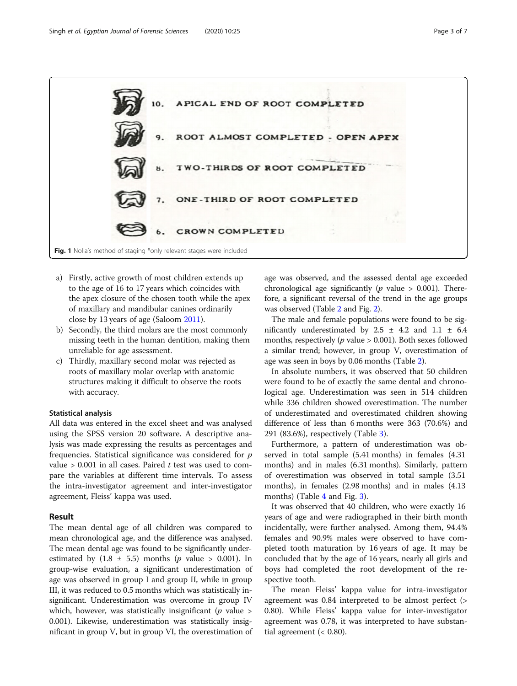<span id="page-2-0"></span>

- a) Firstly, active growth of most children extends up to the age of 16 to 17 years which coincides with the apex closure of the chosen tooth while the apex of maxillary and mandibular canines ordinarily close by 13 years of age (Saloom [2011](#page-6-0)).
- b) Secondly, the third molars are the most commonly missing teeth in the human dentition, making them unreliable for age assessment.
- c) Thirdly, maxillary second molar was rejected as roots of maxillary molar overlap with anatomic structures making it difficult to observe the roots with accuracy.

#### Statistical analysis

All data was entered in the excel sheet and was analysed using the SPSS version 20 software. A descriptive analysis was made expressing the results as percentages and frequencies. Statistical significance was considered for  $p$ value  $> 0.001$  in all cases. Paired t test was used to compare the variables at different time intervals. To assess the intra-investigator agreement and inter-investigator agreement, Fleiss' kappa was used.

## Result

The mean dental age of all children was compared to mean chronological age, and the difference was analysed. The mean dental age was found to be significantly underestimated by  $(1.8 \pm 5.5)$  months (*p* value > 0.001). In group-wise evaluation, a significant underestimation of age was observed in group I and group II, while in group III, it was reduced to 0.5 months which was statistically insignificant. Underestimation was overcome in group IV which, however, was statistically insignificant ( $p$  value  $>$ 0.001). Likewise, underestimation was statistically insignificant in group V, but in group VI, the overestimation of

age was observed, and the assessed dental age exceeded chronological age significantly ( $p$  value > 0.001). Therefore, a significant reversal of the trend in the age groups was observed (Table [2](#page-3-0) and Fig. [2](#page-3-0)).

The male and female populations were found to be significantly underestimated by  $2.5 \pm 4.2$  and  $1.1 \pm 6.4$ months, respectively ( $p$  value  $> 0.001$ ). Both sexes followed a similar trend; however, in group V, overestimation of age was seen in boys by 0.06 months (Table [2](#page-3-0)).

In absolute numbers, it was observed that 50 children were found to be of exactly the same dental and chronological age. Underestimation was seen in 514 children while 336 children showed overestimation. The number of underestimated and overestimated children showing difference of less than 6 months were 363 (70.6%) and 291 (83.6%), respectively (Table [3\)](#page-4-0).

Furthermore, a pattern of underestimation was observed in total sample (5.41 months) in females (4.31 months) and in males (6.31 months). Similarly, pattern of overestimation was observed in total sample (3.51 months), in females (2.98 months) and in males (4.13 months) (Table [4](#page-6-0) and Fig. [3](#page-4-0)).

It was observed that 40 children, who were exactly 16 years of age and were radiographed in their birth month incidentally, were further analysed. Among them, 94.4% females and 90.9% males were observed to have completed tooth maturation by 16 years of age. It may be concluded that by the age of 16 years, nearly all girls and boys had completed the root development of the respective tooth.

The mean Fleiss' kappa value for intra-investigator agreement was 0.84 interpreted to be almost perfect (> 0.80). While Fleiss' kappa value for inter-investigator agreement was 0.78, it was interpreted to have substantial agreement  $( $0.80$ ).$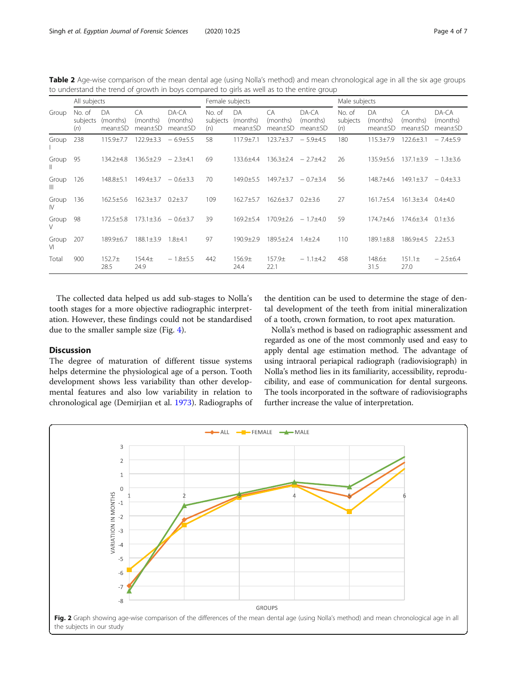<span id="page-3-0"></span>

|                                                                                            | Table 2 Age-wise comparison of the mean dental age (using Nolla's method) and mean chronological age in all the six age groups |  |
|--------------------------------------------------------------------------------------------|--------------------------------------------------------------------------------------------------------------------------------|--|
| to understand the trend of growth in boys compared to girls as well as to the entire group |                                                                                                                                |  |

| All subjects          |                           |                           | Female subjects                         |                              |                           | Male subjects                          |                                                    |                              |                           |                           |                           |                              |
|-----------------------|---------------------------|---------------------------|-----------------------------------------|------------------------------|---------------------------|----------------------------------------|----------------------------------------------------|------------------------------|---------------------------|---------------------------|---------------------------|------------------------------|
| Group                 | No. of<br>subjects<br>(n) | DA<br>(months)<br>mean±SD | CA.<br>(months)<br>mean <sub>±</sub> SD | DA-CA<br>(months)<br>mean±SD | No. of<br>subjects<br>(n) | DA<br>(months)<br>mean <sub>±</sub> SD | C <sub>A</sub><br>(months)<br>mean <sub>±</sub> SD | DA-CA<br>(months)<br>mean±SD | No. of<br>subjects<br>(n) | DA<br>(months)<br>mean±SD | CA<br>(months)<br>mean±SD | DA-CA<br>(months)<br>mean±SD |
| Group                 | 238                       | 115.9±7.7                 | $122.9 \pm 3.3$                         | $-6.9{\pm}5.5$               | 58                        | $117.9 + 7.1$                          | $123.7 + 3.7$                                      | $-5.9{\pm}4.5$               | 180                       | $115.3 \pm 7.9$           | $122.6 \pm 3.1$           | $-7.4+5.9$                   |
| Group<br>Ш            | 95                        | 134.2±4.8                 | $136.5 \pm 2.9$                         | $-2.3\pm4.1$                 | 69                        | 133.6±4.4                              | $136.3 \pm 2.4$                                    | $-2.7+4.2$                   | 26                        | $135.9 \pm 5.6$           | $137.1 \pm 3.9$           | $-1.3\pm3.6$                 |
| Group<br>$\mathbb{H}$ | 126                       | $148.8 \pm 5.1$           | $149.4 \pm 3.7$                         | $-0.6 \pm 3.3$               | 70                        | $149.0 \pm 5.5$                        | $149.7 + 3.7$                                      | $-0.7\pm3.4$                 | 56                        | 148.7±4.6                 | $149.1 \pm 3.7$           | $-0.4\pm3.3$                 |
| Group<br>$\mathbb{N}$ | 136                       | $162.5 \pm 5.6$           | $162.3 \pm 3.7$                         | $0.2 + 3.7$                  | 109                       | $162.7 + 5.7$                          | $162.6 \pm 3.7$                                    | $0.2 + 3.6$                  | 27                        | $161.7 \pm 5.4$           | $161.3 \pm 3.4$           | $0.4 + 4.0$                  |
| Group<br>V            | 98                        | $172.5 \pm 5.8$           | $173.1 \pm 3.6$                         | $-0.6 \pm 3.7$               | 39                        | $169.2 \pm 5.4$                        | $170.9 \pm 2.6$                                    | $-1.7{\pm}4.0$               | 59                        | 174.7±4.6                 | $174.6 \pm 3.4$           | $0.1 \pm 3.6$                |
| Group<br>VI           | 207                       | 189.9±6.7                 | $188.1 \pm 3.9$                         | $1.8 + 4.1$                  | 97                        | $190.9 \pm 2.9$                        | $189.5 \pm 2.4$                                    | $1.4 + 2.4$                  | 110                       | $189.1 \pm 8.8$           | 186.9±4.5                 | $2.2 \pm 5.3$                |
| Total                 | 900                       | $152.7+$<br>28.5          | $154.4+$<br>24.9                        | $-1.8+5.5$                   | 442                       | $156.9+$<br>24.4                       | $157.9+$<br>22.1                                   | $-1.1\pm4.2$                 | 458                       | $148.6+$<br>31.5          | $151.1 \pm$<br>27.0       | $-2.5+6.4$                   |

The collected data helped us add sub-stages to Nolla's tooth stages for a more objective radiographic interpretation. However, these findings could not be standardised due to the smaller sample size (Fig. [4](#page-5-0)).

## Discussion

The degree of maturation of different tissue systems helps determine the physiological age of a person. Tooth development shows less variability than other developmental features and also low variability in relation to chronological age (Demirjian et al. [1973\)](#page-6-0). Radiographs of

the dentition can be used to determine the stage of dental development of the teeth from initial mineralization of a tooth, crown formation, to root apex maturation.

Nolla's method is based on radiographic assessment and regarded as one of the most commonly used and easy to apply dental age estimation method. The advantage of using intraoral periapical radiograph (radiovisiograph) in Nolla's method lies in its familiarity, accessibility, reproducibility, and ease of communication for dental surgeons. The tools incorporated in the software of radiovisiographs further increase the value of interpretation.

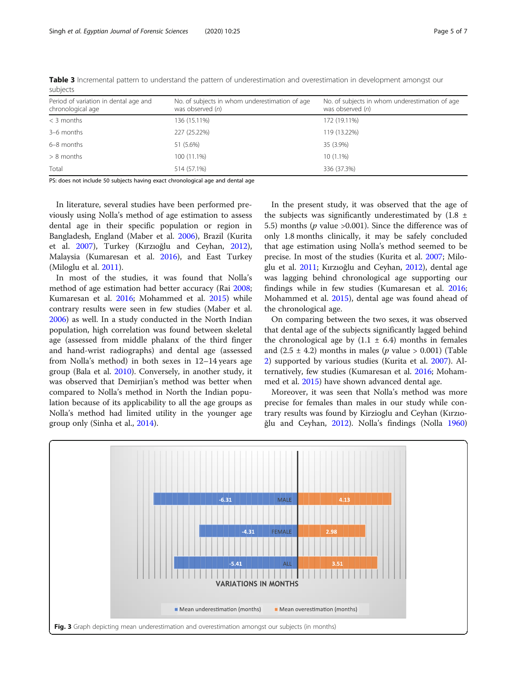| Period of variation in dental age and<br>chronological age | No. of subjects in whom underestimation of age<br>was observed (n) | No. of subjects in whom underestimation of age<br>was observed (n) |
|------------------------------------------------------------|--------------------------------------------------------------------|--------------------------------------------------------------------|
| $<$ 3 months                                               | 136 (15.11%)                                                       | 172 (19.11%)                                                       |
| 3-6 months                                                 | 227 (25.22%)                                                       | 119 (13.22%)                                                       |
| 6-8 months                                                 | 51 (5.6%)                                                          | 35 (3.9%)                                                          |
| $> 8$ months                                               | 100 (11.1%)                                                        | $10(1.1\%)$                                                        |
| Total                                                      | 514 (57.1%)                                                        | 336 (37.3%)                                                        |

<span id="page-4-0"></span>Table 3 Incremental pattern to understand the pattern of underestimation and overestimation in development amongst our subjects

PS: does not include 50 subjects having exact chronological age and dental age

In literature, several studies have been performed previously using Nolla's method of age estimation to assess dental age in their specific population or region in Bangladesh, England (Maber et al. [2006\)](#page-6-0), Brazil (Kurita et al. [2007](#page-6-0)), Turkey (Kırzıoğlu and Ceyhan, [2012](#page-6-0)), Malaysia (Kumaresan et al. [2016](#page-6-0)), and East Turkey (Miloglu et al. [2011\)](#page-6-0).

In most of the studies, it was found that Nolla's method of age estimation had better accuracy (Rai [2008](#page-6-0); Kumaresan et al. [2016](#page-6-0); Mohammed et al. [2015\)](#page-6-0) while contrary results were seen in few studies (Maber et al. [2006](#page-6-0)) as well. In a study conducted in the North Indian population, high correlation was found between skeletal age (assessed from middle phalanx of the third finger and hand-wrist radiographs) and dental age (assessed from Nolla's method) in both sexes in 12–14 years age group (Bala et al. [2010](#page-6-0)). Conversely, in another study, it was observed that Demirjian's method was better when compared to Nolla's method in North the Indian population because of its applicability to all the age groups as Nolla's method had limited utility in the younger age group only (Sinha et al., [2014](#page-6-0)).

In the present study, it was observed that the age of the subjects was significantly underestimated by  $(1.8 \pm$ 5.5) months ( $p$  value >0.001). Since the difference was of only 1.8 months clinically, it may be safely concluded that age estimation using Nolla's method seemed to be precise. In most of the studies (Kurita et al. [2007](#page-6-0); Miloglu et al. [2011;](#page-6-0) Kırzıoğlu and Ceyhan, [2012\)](#page-6-0), dental age was lagging behind chronological age supporting our findings while in few studies (Kumaresan et al. [2016](#page-6-0); Mohammed et al. [2015\)](#page-6-0), dental age was found ahead of the chronological age.

On comparing between the two sexes, it was observed that dental age of the subjects significantly lagged behind the chronological age by  $(1.1 \pm 6.4)$  months in females and  $(2.5 \pm 4.2)$  months in males (*p* value > 0.001) (Table [2\)](#page-3-0) supported by various studies (Kurita et al. [2007](#page-6-0)). Alternatively, few studies (Kumaresan et al. [2016](#page-6-0); Mohammed et al. [2015\)](#page-6-0) have shown advanced dental age.

Moreover, it was seen that Nolla's method was more precise for females than males in our study while contrary results was found by Kirzioglu and Ceyhan (Kırzıoğlu and Ceyhan, [2012\)](#page-6-0). Nolla's findings (Nolla [1960](#page-6-0))

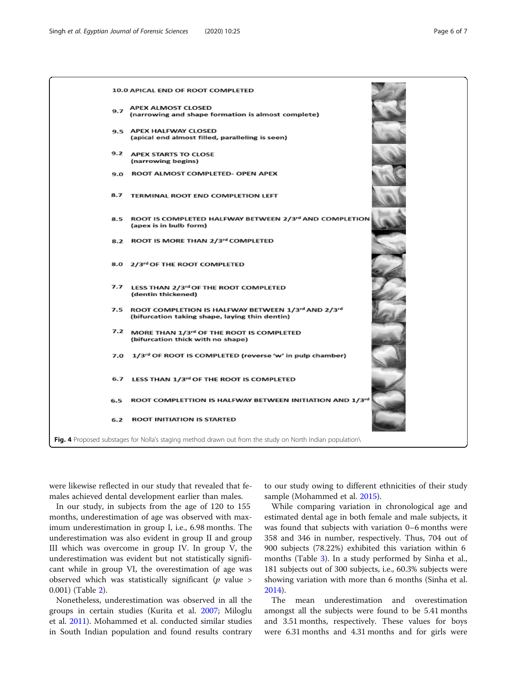<span id="page-5-0"></span>

were likewise reflected in our study that revealed that females achieved dental development earlier than males.

In our study, in subjects from the age of 120 to 155 months, underestimation of age was observed with maximum underestimation in group I, i.e., 6.98 months. The underestimation was also evident in group II and group III which was overcome in group IV. In group V, the underestimation was evident but not statistically significant while in group VI, the overestimation of age was observed which was statistically significant ( $p$  value > 0.001) (Table [2\)](#page-3-0).

Nonetheless, underestimation was observed in all the groups in certain studies (Kurita et al. [2007](#page-6-0); Miloglu et al. [2011\)](#page-6-0). Mohammed et al. conducted similar studies in South Indian population and found results contrary

to our study owing to different ethnicities of their study sample (Mohammed et al. [2015](#page-6-0)).

While comparing variation in chronological age and estimated dental age in both female and male subjects, it was found that subjects with variation 0–6 months were 358 and 346 in number, respectively. Thus, 704 out of 900 subjects (78.22%) exhibited this variation within 6 months (Table [3](#page-4-0)). In a study performed by Sinha et al., 181 subjects out of 300 subjects, i.e., 60.3% subjects were showing variation with more than 6 months (Sinha et al. [2014](#page-6-0)).

The mean underestimation and overestimation amongst all the subjects were found to be 5.41 months and 3.51 months, respectively. These values for boys were 6.31 months and 4.31 months and for girls were